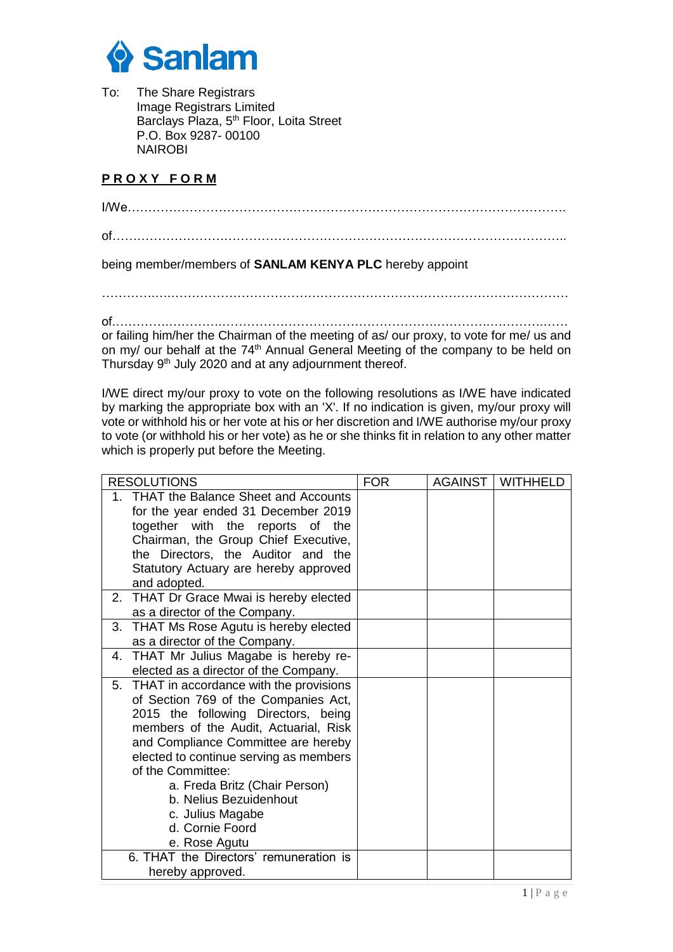

To: The Share Registrars Image Registrars Limited Barclays Plaza, 5<sup>th</sup> Floor, Loita Street P.O. Box 9287- 00100 NAIROBI

## **P R O X Y F O R M**

I/We…………………………………………………………………………………………….

of………………………………………………………………………………………………..

being member/members of **SANLAM KENYA PLC** hereby appoint

………….….……………………………………………………………………………………

of.………….………….…………………………………………….………….………….……

or failing him/her the Chairman of the meeting of as/ our proxy, to vote for me/ us and on my/ our behalf at the 74<sup>th</sup> Annual General Meeting of the company to be held on Thursday 9<sup>th</sup> July 2020 and at any adjournment thereof.

I/WE direct my/our proxy to vote on the following resolutions as I/WE have indicated by marking the appropriate box with an 'X'. If no indication is given, my/our proxy will vote or withhold his or her vote at his or her discretion and I/WE authorise my/our proxy to vote (or withhold his or her vote) as he or she thinks fit in relation to any other matter which is properly put before the Meeting.

| <b>RESOLUTIONS</b>                              | <b>FOR</b> | <b>AGAINST   WITHHELD</b> |
|-------------------------------------------------|------------|---------------------------|
| <b>THAT the Balance Sheet and Accounts</b><br>1 |            |                           |
| for the year ended 31 December 2019             |            |                           |
| together with the reports of the                |            |                           |
| Chairman, the Group Chief Executive,            |            |                           |
| the Directors, the Auditor and the              |            |                           |
| Statutory Actuary are hereby approved           |            |                           |
| and adopted.                                    |            |                           |
| 2. THAT Dr Grace Mwai is hereby elected         |            |                           |
| as a director of the Company.                   |            |                           |
| 3. THAT Ms Rose Agutu is hereby elected         |            |                           |
| as a director of the Company.                   |            |                           |
| 4. THAT Mr Julius Magabe is hereby re-          |            |                           |
| elected as a director of the Company.           |            |                           |
| 5. THAT in accordance with the provisions       |            |                           |
| of Section 769 of the Companies Act,            |            |                           |
| 2015 the following Directors, being             |            |                           |
| members of the Audit, Actuarial, Risk           |            |                           |
| and Compliance Committee are hereby             |            |                           |
| elected to continue serving as members          |            |                           |
| of the Committee:                               |            |                           |
| a. Freda Britz (Chair Person)                   |            |                           |
| b. Nelius Bezuidenhout                          |            |                           |
| c. Julius Magabe                                |            |                           |
| d. Cornie Foord                                 |            |                           |
| e. Rose Agutu                                   |            |                           |
| 6. THAT the Directors' remuneration is          |            |                           |
| hereby approved.                                |            |                           |